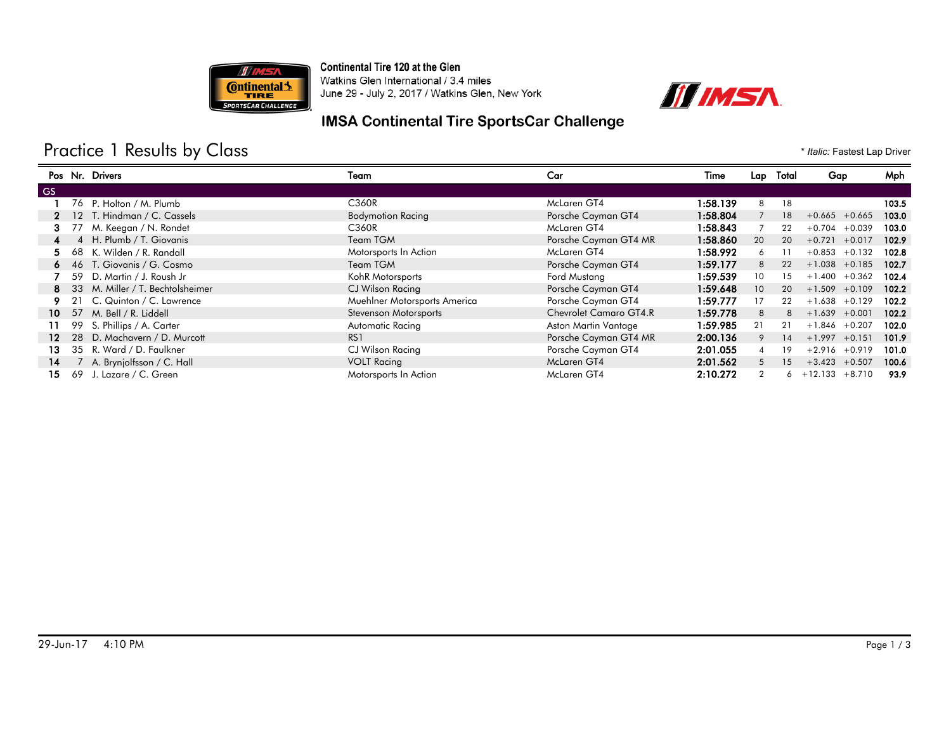

Continental Tire 120 at the Glen



Watkins Glen International / 3.4 miles June 29 - July 2, 2017 / Watkins Glen, New York

### **IMSA Continental Tire SportsCar Challenge**

# Practice 1 Results by Class **Fig. 1** *Italic: Fastest Lap Driver* \* *Italic: Fastest Lap Driver*

|     |    | Pos Nr. Drivers                  | Team                         | Car                    | Time     |                 | Lap Total | Gap                      | Mph   |
|-----|----|----------------------------------|------------------------------|------------------------|----------|-----------------|-----------|--------------------------|-------|
| GS. |    |                                  |                              |                        |          |                 |           |                          |       |
|     |    | 76 P. Holton / M. Plumb          | C360R                        | McLaren GT4            | 1:58.139 | 8               | 18        |                          | 103.5 |
|     |    | 12 T. Hindman / C. Cassels       | <b>Bodymotion Racing</b>     | Porsche Cayman GT4     | 1:58.804 |                 | 18        | $+0.665 + 0.665$         | 103.0 |
| з.  |    | M. Keegan / N. Rondet            | C <sub>36</sub> OR           | McLaren GT4            | 1:58.843 |                 | 22        | $+0.704$<br>$+0.039$     | 103.0 |
| 4   |    | 4 H. Plumb / T. Giovanis         | Team TGM                     | Porsche Cayman GT4 MR  | 1:58.860 | 20              | 20        | $+0.721$<br>$+0.017$     | 102.9 |
| 5.  |    | 68 K. Wilden / R. Randall        | Motorsports In Action        | McLaren GT4            | 1:58.992 | 6               |           | $+0.853$<br>$+0.132$     | 102.8 |
|     |    | 6 46 T. Giovanis / G. Cosmo      | Team TGM                     | Porsche Cayman GT4     | 1:59.177 | 8               | 22        | $+1.038 + 0.185$         | 102.7 |
|     | 59 | D. Martin / J. Roush Jr          | KohR Motorsports             | Ford Mustang           | 1:59.539 | 10              | 15        | $+1.400$<br>$+0.362$     | 102.4 |
| 8.  |    | 33 M. Miller / T. Bechtolsheimer | CJ Wilson Racing             | Porsche Cayman GT4     | 1:59.648 | 10 <sup>°</sup> | 20        | $+1.509 + 0.109$         | 102.2 |
|     | 21 | C. Quinton / C. Lawrence         | Muehlner Motorsports America | Porsche Cayman GT4     | 1:59.777 | 17              | 22        | $+1.638 + 0.129$         | 102.2 |
| 10. |    | 57 M. Bell / R. Liddell          | Stevenson Motorsports        | Chevrolet Camaro GT4.R | 1:59.778 | 8               | 8         | $+1.639$<br>$+0.001$     | 102.2 |
| 11. | 99 | S. Phillips / A. Carter          | Automatic Racing             | Aston Martin Vantage   | 1:59.985 | 21              | 21        | $+1.846$<br>$+0.207$     | 102.0 |
| 12. | 28 | D. Machavern / D. Murcott        | R <sub>S</sub> 1             | Porsche Cayman GT4 MR  | 2:00.136 | 9               | 14        | $+1.997 +0.151$          | 101.9 |
| 13. |    | 35 R. Ward / D. Faulkner         | CJ Wilson Racing             | Porsche Cayman GT4     | 2:01.055 | $\overline{4}$  | 19        | $+2.916$<br>$+0.919$     | 101.0 |
| 14  |    | A. Brynjolfsson / C. Hall        | <b>VOLT Racing</b>           | McLaren GT4            | 2:01.562 | 5               | 15        | $+3.423 + 0.507$         | 100.6 |
| 15. | 69 | J. Lazare / C. Green             | Motorsports In Action        | McLaren GT4            | 2:10.272 | $\overline{2}$  |           | $6 + 12.133$<br>$+8.710$ | 93.9  |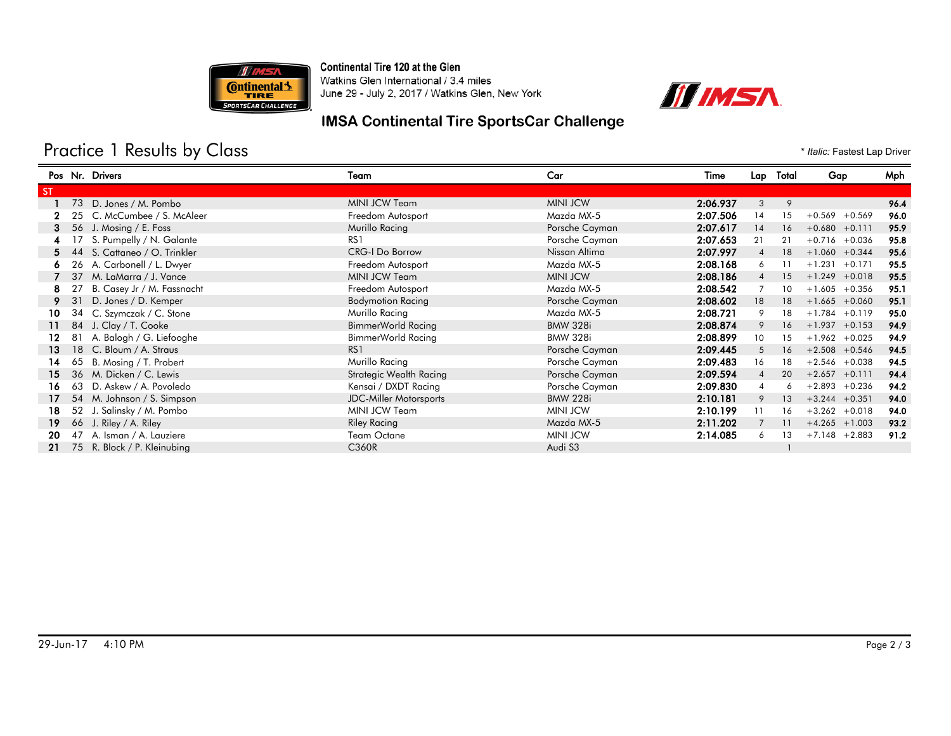

Continental Tire 120 at the Glen Watkins Glen International / 3.4 miles

June 29 - July 2, 2017 / Watkins Glen, New York



### **IMSA Continental Tire SportsCar Challenge**

# Practice 1 Results by Class **Fig. 1** *Italic: Fastest Lap Driver* \* *Italic: Fastest Lap Driver*

|           |    | Pos Nr. Drivers              | Team                          | Car             | Time     | Lap             | Total | Gap                  | Mph  |
|-----------|----|------------------------------|-------------------------------|-----------------|----------|-----------------|-------|----------------------|------|
| <b>ST</b> |    |                              |                               |                 |          |                 |       |                      |      |
|           |    | 73 D. Jones / M. Pombo       | MINI JCW Team                 | <b>MINI JCW</b> | 2:06.937 | 3               | 9     |                      | 96.4 |
|           |    | 25 C. McCumbee / S. McAleer  | Freedom Autosport             | Mazda MX-5      | 2:07.506 | 14              | 15    | $+0.569$<br>$+0.569$ | 96.0 |
|           | 56 | J. Mosing / E. Foss          | Murillo Racing                | Porsche Cayman  | 2:07.617 | 14              | 16    | $+0.680 +0.111$      | 95.9 |
|           |    | S. Pumpelly / N. Galante     | RS <sub>1</sub>               | Porsche Cayman  | 2:07.653 | 21              | 21    | $+0.716 + 0.036$     | 95.8 |
| 5.        |    | 44 S. Cattaneo / O. Trinkler | <b>CRG-I Do Borrow</b>        | Nissan Altima   | 2:07.997 | $\overline{4}$  | 18    | $+1.060 + 0.344$     | 95.6 |
|           | 26 | A. Carbonell / L. Dwyer      | Freedom Autosport             | Mazda MX-5      | 2:08.168 | 6               | 11    | $+1.231 + 0.171$     | 95.5 |
|           | 37 | M. LaMarra / J. Vance        | MINI JCW Team                 | <b>MINI JCW</b> | 2:08.186 | $\overline{4}$  | 15    | $+1.249 + 0.018$     | 95.5 |
| 8.        |    | B. Casey Jr / M. Fassnacht   | Freedom Autosport             | Mazda MX-5      | 2:08.542 |                 | 10    | $+1.605 + 0.356$     | 95.1 |
|           | 31 | D. Jones / D. Kemper         | <b>Bodymotion Racing</b>      | Porsche Cayman  | 2:08.602 | 18              | 18    | $+1.665 +0.060$      | 95.1 |
| 10        |    | 34 C. Szymczak / C. Stone    | Murillo Racing                | Mazda MX-5      | 2:08.721 | 9               | 18    | $+1.784 + 0.119$     | 95.0 |
| 11        |    | 84 J. Clay / T. Cooke        | BimmerWorld Racing            | <b>BMW 328i</b> | 2:08.874 | 9               | 16    | $+1.937 +0.153$      | 94.9 |
| 12.       |    | 81 A. Balogh / G. Liefooghe  | BimmerWorld Racing            | <b>BMW 328i</b> | 2:08.899 | 10 <sup>°</sup> | 15    | $+1.962 + 0.025$     | 94.9 |
| 13        |    | 18 C. Bloum / A. Straus      | RS <sub>1</sub>               | Porsche Cayman  | 2:09.445 | 5               | 16    | $+2.508$ +0.546      | 94.5 |
| 14        | 65 | B. Mosing / T. Probert       | Murillo Racing                | Porsche Cayman  | 2:09.483 | 16              | 18    | $+2.546 + 0.038$     | 94.5 |
| 15        |    | 36 M. Dicken / C. Lewis      | Strategic Wealth Racing       | Porsche Cayman  | 2:09.594 | $\overline{4}$  | 20    | $+2.657 +0.111$      | 94.4 |
| 16.       | 63 | D. Askew / A. Povoledo       | Kensai / DXDT Racing          | Porsche Cayman  | 2:09.830 | 4               | 6     | $+2.893 +0.236$      | 94.2 |
| 17        |    | 54 M. Johnson / S. Simpson   | <b>JDC-Miller Motorsports</b> | <b>BMW 228i</b> | 2:10.181 | 9               | 13    | $+3.244 + 0.351$     | 94.0 |
| 18        |    | 52 J. Salinsky / M. Pombo    | MINI JCW Team                 | <b>MINI JCW</b> | 2:10.199 | 11              | 16    | $+3.262 + 0.018$     | 94.0 |
| 19        |    | 66 J. Riley / A. Riley       | <b>Riley Racing</b>           | Mazda MX-5      | 2:11.202 |                 | 11    | $+4.265$ +1.003      | 93.2 |
| 20        |    | 47 A. Isman / A. Lauziere    | Team Octane                   | <b>MINI JCW</b> | 2:14.085 | 6               | 13    | $+7.148$ +2.883      | 91.2 |
| 21        |    | 75 R. Block / P. Kleinubing  | C360R                         | Audi S3         |          |                 |       |                      |      |